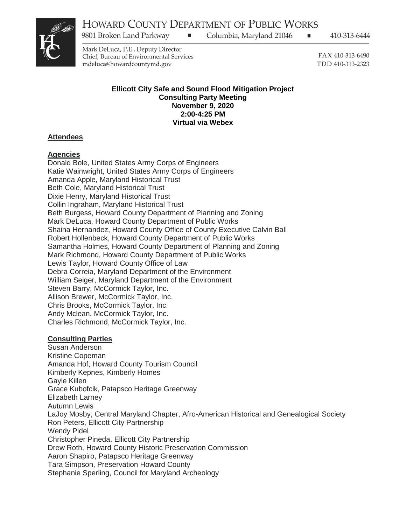$\blacksquare$ 

9801 Broken Land Parkway

Columbia, Maryland 21046

410-313-6444

Mark DeLuca, P.E., Deputy Director Chief, Bureau of Environmental Services mdeluca@howardcountymd.gov

FAX 410-313-6490 TDD 410-313-2323

п.

#### **Ellicott City Safe and Sound Flood Mitigation Project Consulting Party Meeting November 9, 2020 2:00-4:25 PM Virtual via Webex**

# **Attendees**

## **Agencies**

Donald Bole, United States Army Corps of Engineers Katie Wainwright, United States Army Corps of Engineers Amanda Apple, Maryland Historical Trust Beth Cole, Maryland Historical Trust Dixie Henry, Maryland Historical Trust Collin Ingraham, Maryland Historical Trust Beth Burgess, Howard County Department of Planning and Zoning Mark DeLuca, Howard County Department of Public Works Shaina Hernandez, Howard County Office of County Executive Calvin Ball Robert Hollenbeck, Howard County Department of Public Works Samantha Holmes, Howard County Department of Planning and Zoning Mark Richmond, Howard County Department of Public Works Lewis Taylor, Howard County Office of Law Debra Correia, Maryland Department of the Environment William Seiger, Maryland Department of the Environment Steven Barry, McCormick Taylor, Inc. Allison Brewer, McCormick Taylor, Inc. Chris Brooks, McCormick Taylor, Inc. Andy Mclean, McCormick Taylor, Inc. Charles Richmond, McCormick Taylor, Inc.

# **Consulting Parties**

Susan Anderson Kristine Copeman Amanda Hof, Howard County Tourism Council Kimberly Kepnes, Kimberly Homes Gayle Killen Grace Kubofcik, Patapsco Heritage Greenway Elizabeth Larney Autumn Lewis LaJoy Mosby, Central Maryland Chapter, Afro-American Historical and Genealogical Society Ron Peters, Ellicott City Partnership Wendy Pidel Christopher Pineda, Ellicott City Partnership Drew Roth, Howard County Historic Preservation Commission Aaron Shapiro, Patapsco Heritage Greenway Tara Simpson, Preservation Howard County Stephanie Sperling, Council for Maryland Archeology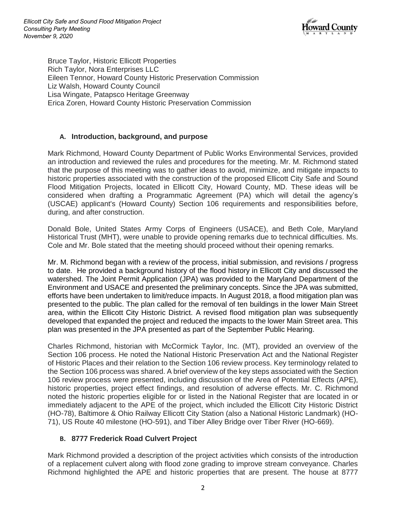

Bruce Taylor, Historic Ellicott Properties Rich Taylor, Nora Enterprises LLC Eileen Tennor, Howard County Historic Preservation Commission Liz Walsh, Howard County Council Lisa Wingate, Patapsco Heritage Greenway Erica Zoren, Howard County Historic Preservation Commission

## **A. Introduction, background, and purpose**

Mark Richmond, Howard County Department of Public Works Environmental Services, provided an introduction and reviewed the rules and procedures for the meeting. Mr. M. Richmond stated that the purpose of this meeting was to gather ideas to avoid, minimize, and mitigate impacts to historic properties associated with the construction of the proposed Ellicott City Safe and Sound Flood Mitigation Projects, located in Ellicott City, Howard County, MD. These ideas will be considered when drafting a Programmatic Agreement (PA) which will detail the agency's (USCAE) applicant's (Howard County) Section 106 requirements and responsibilities before, during, and after construction.

Donald Bole, United States Army Corps of Engineers (USACE), and Beth Cole, Maryland Historical Trust (MHT), were unable to provide opening remarks due to technical difficulties. Ms. Cole and Mr. Bole stated that the meeting should proceed without their opening remarks.

Mr. M. Richmond began with a review of the process, initial submission, and revisions / progress to date. He provided a background history of the flood history in Ellicott City and discussed the watershed. The Joint Permit Application (JPA) was provided to the Maryland Department of the Environment and USACE and presented the preliminary concepts. Since the JPA was submitted, efforts have been undertaken to limit/reduce impacts. In August 2018, a flood mitigation plan was presented to the public. The plan called for the removal of ten buildings in the lower Main Street area, within the Ellicott City Historic District. A revised flood mitigation plan was subsequently developed that expanded the project and reduced the impacts to the lower Main Street area. This plan was presented in the JPA presented as part of the September Public Hearing.

Charles Richmond, historian with McCormick Taylor, Inc. (MT), provided an overview of the Section 106 process. He noted the National Historic Preservation Act and the National Register of Historic Places and their relation to the Section 106 review process. Key terminology related to the Section 106 process was shared. A brief overview of the key steps associated with the Section 106 review process were presented, including discussion of the Area of Potential Effects (APE), historic properties, project effect findings, and resolution of adverse effects. Mr. C. Richmond noted the historic properties eligible for or listed in the National Register that are located in or immediately adjacent to the APE of the project, which included the Ellicott City Historic District (HO-78), Baltimore & Ohio Railway Ellicott City Station (also a National Historic Landmark) (HO-71), US Route 40 milestone (HO-591), and Tiber Alley Bridge over Tiber River (HO-669).

### **B. 8777 Frederick Road Culvert Project**

Mark Richmond provided a description of the project activities which consists of the introduction of a replacement culvert along with flood zone grading to improve stream conveyance. Charles Richmond highlighted the APE and historic properties that are present. The house at 8777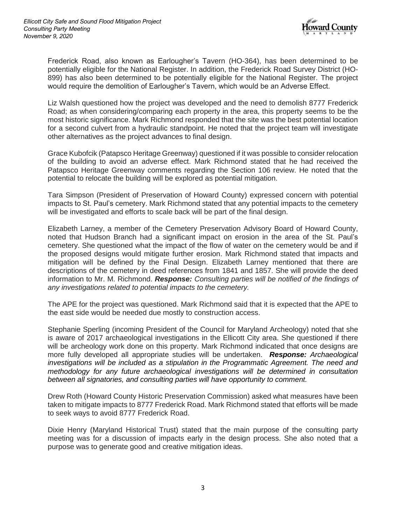

Frederick Road, also known as Earlougher's Tavern (HO-364), has been determined to be potentially eligible for the National Register. In addition, the Frederick Road Survey District (HO-899) has also been determined to be potentially eligible for the National Register. The project would require the demolition of Earlougher's Tavern, which would be an Adverse Effect.

Liz Walsh questioned how the project was developed and the need to demolish 8777 Frederick Road; as when considering/comparing each property in the area, this property seems to be the most historic significance. Mark Richmond responded that the site was the best potential location for a second culvert from a hydraulic standpoint. He noted that the project team will investigate other alternatives as the project advances to final design.

Grace Kubofcik (Patapsco Heritage Greenway) questioned if it was possible to consider relocation of the building to avoid an adverse effect. Mark Richmond stated that he had received the Patapsco Heritage Greenway comments regarding the Section 106 review. He noted that the potential to relocate the building will be explored as potential mitigation.

Tara Simpson (President of Preservation of Howard County) expressed concern with potential impacts to St. Paul's cemetery. Mark Richmond stated that any potential impacts to the cemetery will be investigated and efforts to scale back will be part of the final design.

Elizabeth Larney, a member of the Cemetery Preservation Advisory Board of Howard County, noted that Hudson Branch had a significant impact on erosion in the area of the St. Paul's cemetery. She questioned what the impact of the flow of water on the cemetery would be and if the proposed designs would mitigate further erosion. Mark Richmond stated that impacts and mitigation will be defined by the Final Design. Elizabeth Larney mentioned that there are descriptions of the cemetery in deed references from 1841 and 1857. She will provide the deed information to Mr. M. Richmond. *Response: Consulting parties will be notified of the findings of any investigations related to potential impacts to the cemetery.*

The APE for the project was questioned. Mark Richmond said that it is expected that the APE to the east side would be needed due mostly to construction access.

Stephanie Sperling (incoming President of the Council for Maryland Archeology) noted that she is aware of 2017 archaeological investigations in the Ellicott City area. She questioned if there will be archeology work done on this property. Mark Richmond indicated that once designs are more fully developed all appropriate studies will be undertaken. *Response: Archaeological investigations will be included as a stipulation in the Programmatic Agreement. The need and methodology for any future archaeological investigations will be determined in consultation between all signatories, and consulting parties will have opportunity to comment.* 

Drew Roth (Howard County Historic Preservation Commission) asked what measures have been taken to mitigate impacts to 8777 Frederick Road. Mark Richmond stated that efforts will be made to seek ways to avoid 8777 Frederick Road.

Dixie Henry (Maryland Historical Trust) stated that the main purpose of the consulting party meeting was for a discussion of impacts early in the design process. She also noted that a purpose was to generate good and creative mitigation ideas.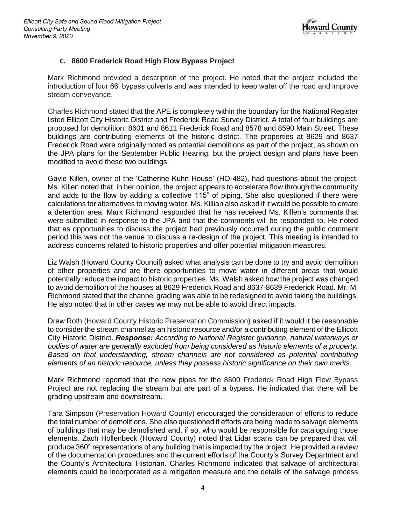

### **C. 8600 Frederick Road High Flow Bypass Project**

Mark Richmond provided a description of the project. He noted that the project included the introduction of four 66' bypass culverts and was intended to keep water off the road and improve stream conveyance.

Charles Richmond stated that the APE is completely within the boundary for the National Register listed Ellicott City Historic District and Frederick Road Survey District. A total of four buildings are proposed for demolition: 8601 and 8611 Frederick Road and 8578 and 8590 Main Street. These buildings are contributing elements of the historic district. The properties at 8629 and 8637 Frederick Road were originally noted as potential demolitions as part of the project, as shown on the JPA plans for the September Public Hearing, but the project design and plans have been modified to avoid these two buildings.

Gayle Killen, owner of the 'Catherine Kuhn House' (HO-482), had questions about the project. Ms. Killen noted that, in her opinion, the project appears to accelerate flow through the community and adds to the flow by adding a collective 115" of piping. She also questioned if there were calculations for alternatives to moving water. Ms. Killian also asked if it would be possible to create a detention area. Mark Richmond responded that he has received Ms. Killen's comments that were submitted in response to the JPA and that the comments will be responded to. He noted that as opportunities to discuss the project had previously occurred during the public comment period this was not the venue to discuss a re-design of the project. This meeting is intended to address concerns related to historic properties and offer potential mitigation measures.

Liz Walsh (Howard County Council) asked what analysis can be done to try and avoid demolition of other properties and are there opportunities to move water in different areas that would potentially reduce the impact to historic properties. Ms. Walsh asked how the project was changed to avoid demolition of the houses at 8629 Frederick Road and 8637-8639 Frederick Road. Mr. M. Richmond stated that the channel grading was able to be redesigned to avoid taking the buildings. He also noted that in other cases we may not be able to avoid direct impacts.

Drew Roth (Howard County Historic Preservation Commission) asked if it would it be reasonable to consider the stream channel as an historic resource and/or a contributing element of the Ellicott City Historic District. *Response: According to National Register guidance, natural waterways or bodies of water are generally excluded from being considered as historic elements of a property. Based on that understanding, stream channels are not considered as potential contributing elements of an historic resource, unless they possess historic significance on their own merits.*

Mark Richmond reported that the new pipes for the 8600 Frederick Road High Flow Bypass Project are not replacing the stream but are part of a bypass. He indicated that there will be grading upstream and downstream.

Tara Simpson (Preservation Howard County) encouraged the consideration of efforts to reduce the total number of demolitions. She also questioned if efforts are being made to salvage elements of buildings that may be demolished and, if so, who would be responsible for cataloguing those elements. Zach Hollenbeck (Howard County) noted that Lidar scans can be prepared that will produce 360° representations of any building that is impacted by the project. He provided a review of the documentation procedures and the current efforts of the County's Survey Department and the County's Architectural Historian. Charles Richmond indicated that salvage of architectural elements could be incorporated as a mitigation measure and the details of the salvage process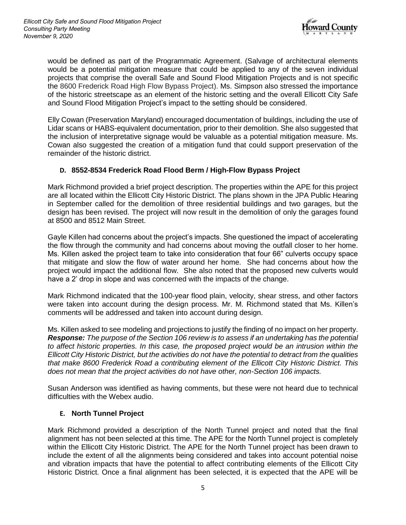

would be defined as part of the Programmatic Agreement. (Salvage of architectural elements would be a potential mitigation measure that could be applied to any of the seven individual projects that comprise the overall Safe and Sound Flood Mitigation Projects and is not specific the 8600 Frederick Road High Flow Bypass Project). Ms. Simpson also stressed the importance of the historic streetscape as an element of the historic setting and the overall Ellicott City Safe and Sound Flood Mitigation Project's impact to the setting should be considered.

Elly Cowan (Preservation Maryland) encouraged documentation of buildings, including the use of Lidar scans or HABS-equivalent documentation, prior to their demolition. She also suggested that the inclusion of interpretative signage would be valuable as a potential mitigation measure. Ms. Cowan also suggested the creation of a mitigation fund that could support preservation of the remainder of the historic district.

### **D. 8552-8534 Frederick Road Flood Berm / High-Flow Bypass Project**

Mark Richmond provided a brief project description. The properties within the APE for this project are all located within the Ellicott City Historic District. The plans shown in the JPA Public Hearing in September called for the demolition of three residential buildings and two garages, but the design has been revised. The project will now result in the demolition of only the garages found at 8500 and 8512 Main Street.

Gayle Killen had concerns about the project's impacts. She questioned the impact of accelerating the flow through the community and had concerns about moving the outfall closer to her home. Ms. Killen asked the project team to take into consideration that four 66" culverts occupy space that mitigate and slow the flow of water around her home. She had concerns about how the project would impact the additional flow. She also noted that the proposed new culverts would have a 2' drop in slope and was concerned with the impacts of the change.

Mark Richmond indicated that the 100-year flood plain, velocity, shear stress, and other factors were taken into account during the design process. Mr. M. Richmond stated that Ms. Killen's comments will be addressed and taken into account during design.

Ms. Killen asked to see modeling and projections to justify the finding of no impact on her property. *Response: The purpose of the Section 106 review is to assess if an undertaking has the potential to affect historic properties. In this case, the proposed project would be an intrusion within the Ellicott City Historic District, but the activities do not have the potential to detract from the qualities that make 8600 Frederick Road a contributing element of the Ellicott City Historic District. This does not mean that the project activities do not have other, non-Section 106 impacts.*

Susan Anderson was identified as having comments, but these were not heard due to technical difficulties with the Webex audio.

### **E. North Tunnel Project**

Mark Richmond provided a description of the North Tunnel project and noted that the final alignment has not been selected at this time. The APE for the North Tunnel project is completely within the Ellicott City Historic District. The APE for the North Tunnel project has been drawn to include the extent of all the alignments being considered and takes into account potential noise and vibration impacts that have the potential to affect contributing elements of the Ellicott City Historic District. Once a final alignment has been selected, it is expected that the APE will be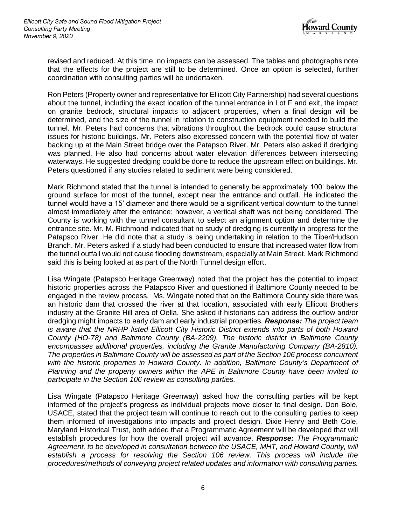

revised and reduced. At this time, no impacts can be assessed. The tables and photographs note that the effects for the project are still to be determined. Once an option is selected, further coordination with consulting parties will be undertaken.

Ron Peters (Property owner and representative for Ellicott City Partnership) had several questions about the tunnel, including the exact location of the tunnel entrance in Lot F and exit, the impact on granite bedrock, structural impacts to adjacent properties, when a final design will be determined, and the size of the tunnel in relation to construction equipment needed to build the tunnel. Mr. Peters had concerns that vibrations throughout the bedrock could cause structural issues for historic buildings. Mr. Peters also expressed concern with the potential flow of water backing up at the Main Street bridge over the Patapsco River. Mr. Peters also asked if dredging was planned. He also had concerns about water elevation differences between intersecting waterways. He suggested dredging could be done to reduce the upstream effect on buildings. Mr. Peters questioned if any studies related to sediment were being considered.

Mark Richmond stated that the tunnel is intended to generally be approximately 100' below the ground surface for most of the tunnel, except near the entrance and outfall. He indicated the tunnel would have a 15' diameter and there would be a significant vertical downturn to the tunnel almost immediately after the entrance; however, a vertical shaft was not being considered. The County is working with the tunnel consultant to select an alignment option and determine the entrance site. Mr. M. Richmond indicated that no study of dredging is currently in progress for the Patapsco River. He did note that a study is being undertaking in relation to the Tiber/Hudson Branch. Mr. Peters asked if a study had been conducted to ensure that increased water flow from the tunnel outfall would not cause flooding downstream, especially at Main Street. Mark Richmond said this is being looked at as part of the North Tunnel design effort.

Lisa Wingate (Patapsco Heritage Greenway) noted that the project has the potential to impact historic properties across the Patapsco River and questioned if Baltimore County needed to be engaged in the review process. Ms. Wingate noted that on the Baltimore County side there was an historic dam that crossed the river at that location, associated with early Ellicott Brothers industry at the Granite Hill area of Oella. She asked if historians can address the outflow and/or dredging might impacts to early dam and early industrial properties. *Response: The project team*  is aware that the NRHP listed Ellicott City Historic District extends into parts of both Howard *County (HO-78) and Baltimore County (BA-2209). The historic district in Baltimore County encompasses additional properties, including the Granite Manufacturing Company (BA-2810). The properties in Baltimore County will be assessed as part of the Section 106 process concurrent*  with the historic properties in Howard County. In addition, Baltimore County's Department of *Planning and the property owners within the APE in Baltimore County have been invited to participate in the Section 106 review as consulting parties.*

Lisa Wingate (Patapsco Heritage Greenway) asked how the consulting parties will be kept informed of the project's progress as individual projects move closer to final design. Don Bole, USACE, stated that the project team will continue to reach out to the consulting parties to keep them informed of investigations into impacts and project design. Dixie Henry and Beth Cole, Maryland Historical Trust, both added that a Programmatic Agreement will be developed that will establish procedures for how the overall project will advance. *Response: The Programmatic Agreement, to be developed in consultation between the USACE, MHT, and Howard County, will establish a process for resolving the Section 106 review. This process will include the procedures/methods of conveying project related updates and information with consulting parties.*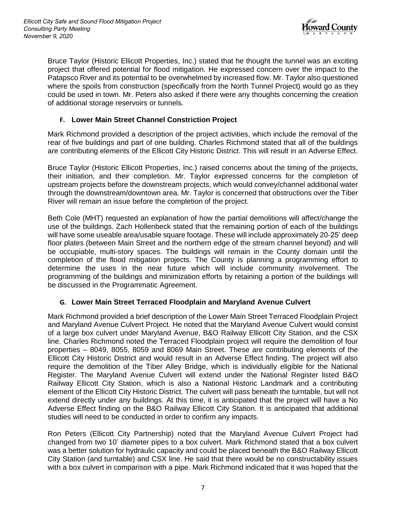

Bruce Taylor (Historic Ellicott Properties, Inc.) stated that he thought the tunnel was an exciting project that offered potential for flood mitigation. He expressed concern over the impact to the Patapsco River and its potential to be overwhelmed by increased flow. Mr. Taylor also questioned where the spoils from construction (specifically from the North Tunnel Project) would go as they could be used in town. Mr. Peters also asked if there were any thoughts concerning the creation of additional storage reservoirs or tunnels.

## **F. Lower Main Street Channel Constriction Project**

Mark Richmond provided a description of the project activities, which include the removal of the rear of five buildings and part of one building. Charles Richmond stated that all of the buildings are contributing elements of the Ellicott City Historic District. This will result in an Adverse Effect.

Bruce Taylor (Historic Ellicott Properties, Inc.) raised concerns about the timing of the projects, their initiation, and their completion. Mr. Taylor expressed concerns for the completion of upstream projects before the downstream projects, which would convey/channel additional water through the downstream/downtown area. Mr. Taylor is concerned that obstructions over the Tiber River will remain an issue before the completion of the project.

Beth Cole (MHT) requested an explanation of how the partial demolitions will affect/change the use of the buildings. Zach Hollenbeck stated that the remaining portion of each of the buildings will have some useable area/usable square footage. These will include approximately 20-25' deep floor plates (between Main Street and the northern edge of the stream channel beyond) and will be occupiable, multi-story spaces. The buildings will remain in the County domain until the completion of the flood mitigation projects. The County is planning a programming effort to determine the uses in the near future which will include community involvement. The programming of the buildings and minimization efforts by retaining a portion of the buildings will be discussed in the Programmatic Agreement.

### **G. Lower Main Street Terraced Floodplain and Maryland Avenue Culvert**

Mark Richmond provided a brief description of the Lower Main Street Terraced Floodplain Project and Maryland Avenue Culvert Project. He noted that the Maryland Avenue Culvert would consist of a large box culvert under Maryland Avenue, B&O Railway Ellicott City Station, and the CSX line. Charles Richmond noted the Terraced Floodplain project will require the demolition of four properties – 8049, 8055, 8059 and 8069 Main Street. These are contributing elements of the Ellicott City Historic District and would result in an Adverse Effect finding. The project will also require the demolition of the Tiber Alley Bridge, which is individually eligible for the National Register. The Maryland Avenue Culvert will extend under the National Register listed B&O Railway Ellicott City Station, which is also a National Historic Landmark and a contributing element of the Ellicott City Historic District. The culvert will pass beneath the turntable, but will not extend directly under any buildings. At this time, it is anticipated that the project will have a No Adverse Effect finding on the B&O Railway Ellicott City Station. It is anticipated that additional studies will need to be conducted in order to confirm any impacts.

Ron Peters (Ellicott City Partnership) noted that the Maryland Avenue Culvert Project had changed from two 10' diameter pipes to a box culvert. Mark Richmond stated that a box culvert was a better solution for hydraulic capacity and could be placed beneath the B&O Railway Ellicott City Station (and turntable) and CSX line. He said that there would be no constructability issues with a box culvert in comparison with a pipe. Mark Richmond indicated that it was hoped that the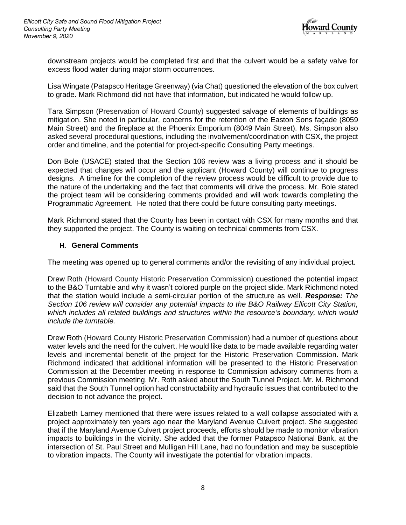

downstream projects would be completed first and that the culvert would be a safety valve for excess flood water during major storm occurrences.

Lisa Wingate (Patapsco Heritage Greenway) (via Chat) questioned the elevation of the box culvert to grade. Mark Richmond did not have that information, but indicated he would follow up.

Tara Simpson (Preservation of Howard County) suggested salvage of elements of buildings as mitigation. She noted in particular, concerns for the retention of the Easton Sons façade (8059 Main Street) and the fireplace at the Phoenix Emporium (8049 Main Street). Ms. Simpson also asked several procedural questions, including the involvement/coordination with CSX, the project order and timeline, and the potential for project-specific Consulting Party meetings.

Don Bole (USACE) stated that the Section 106 review was a living process and it should be expected that changes will occur and the applicant (Howard County) will continue to progress designs. A timeline for the completion of the review process would be difficult to provide due to the nature of the undertaking and the fact that comments will drive the process. Mr. Bole stated the project team will be considering comments provided and will work towards completing the Programmatic Agreement. He noted that there could be future consulting party meetings.

Mark Richmond stated that the County has been in contact with CSX for many months and that they supported the project. The County is waiting on technical comments from CSX.

#### **H. General Comments**

The meeting was opened up to general comments and/or the revisiting of any individual project.

Drew Roth (Howard County Historic Preservation Commission) questioned the potential impact to the B&O Turntable and why it wasn't colored purple on the project slide. Mark Richmond noted that the station would include a semi-circular portion of the structure as well. *Response: The Section 106 review will consider any potential impacts to the B&O Railway Ellicott City Station, which includes all related buildings and structures within the resource's boundary, which would include the turntable.*

Drew Roth (Howard County Historic Preservation Commission) had a number of questions about water levels and the need for the culvert. He would like data to be made available regarding water levels and incremental benefit of the project for the Historic Preservation Commission. Mark Richmond indicated that additional information will be presented to the Historic Preservation Commission at the December meeting in response to Commission advisory comments from a previous Commission meeting. Mr. Roth asked about the South Tunnel Project. Mr. M. Richmond said that the South Tunnel option had constructability and hydraulic issues that contributed to the decision to not advance the project.

Elizabeth Larney mentioned that there were issues related to a wall collapse associated with a project approximately ten years ago near the Maryland Avenue Culvert project. She suggested that if the Maryland Avenue Culvert project proceeds, efforts should be made to monitor vibration impacts to buildings in the vicinity. She added that the former Patapsco National Bank, at the intersection of St. Paul Street and Mulligan Hill Lane, had no foundation and may be susceptible to vibration impacts. The County will investigate the potential for vibration impacts.